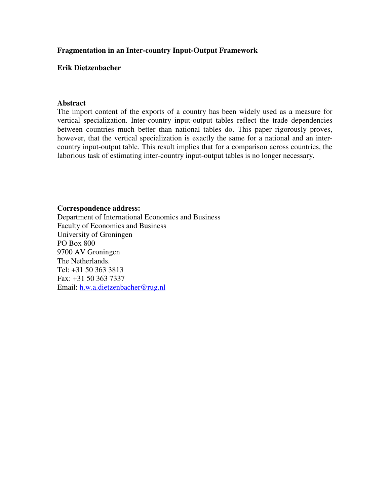# **Fragmentation in an Inter-country Input-Output Framework**

## **Erik Dietzenbacher**

### **Abstract**

The import content of the exports of a country has been widely used as a measure for vertical specialization. Inter-country input-output tables reflect the trade dependencies between countries much better than national tables do. This paper rigorously proves, however, that the vertical specialization is exactly the same for a national and an intercountry input-output table. This result implies that for a comparison across countries, the laborious task of estimating inter-country input-output tables is no longer necessary.

### **Correspondence address:**

Department of International Economics and Business Faculty of Economics and Business University of Groningen PO Box 800 9700 AV Groningen The Netherlands. Tel: +31 50 363 3813 Fax: +31 50 363 7337 Email: h.w.a.dietzenbacher@rug.nl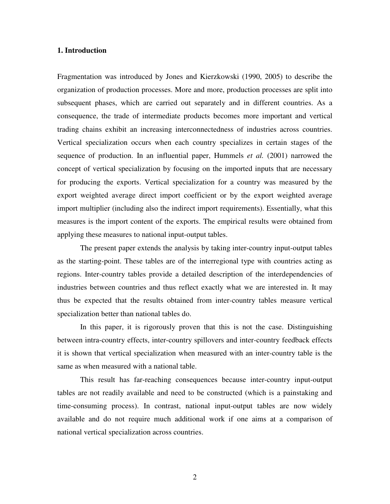### **1. Introduction**

Fragmentation was introduced by Jones and Kierzkowski (1990, 2005) to describe the organization of production processes. More and more, production processes are split into subsequent phases, which are carried out separately and in different countries. As a consequence, the trade of intermediate products becomes more important and vertical trading chains exhibit an increasing interconnectedness of industries across countries. Vertical specialization occurs when each country specializes in certain stages of the sequence of production. In an influential paper, Hummels *et al.* (2001) narrowed the concept of vertical specialization by focusing on the imported inputs that are necessary for producing the exports. Vertical specialization for a country was measured by the export weighted average direct import coefficient or by the export weighted average import multiplier (including also the indirect import requirements). Essentially, what this measures is the import content of the exports. The empirical results were obtained from applying these measures to national input-output tables.

The present paper extends the analysis by taking inter-country input-output tables as the starting-point. These tables are of the interregional type with countries acting as regions. Inter-country tables provide a detailed description of the interdependencies of industries between countries and thus reflect exactly what we are interested in. It may thus be expected that the results obtained from inter-country tables measure vertical specialization better than national tables do.

In this paper, it is rigorously proven that this is not the case. Distinguishing between intra-country effects, inter-country spillovers and inter-country feedback effects it is shown that vertical specialization when measured with an inter-country table is the same as when measured with a national table.

This result has far-reaching consequences because inter-country input-output tables are not readily available and need to be constructed (which is a painstaking and time-consuming process). In contrast, national input-output tables are now widely available and do not require much additional work if one aims at a comparison of national vertical specialization across countries.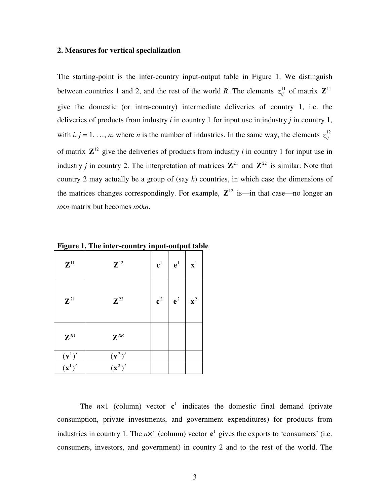#### **2. Measures for vertical specialization**

The starting-point is the inter-country input-output table in Figure 1. We distinguish between countries 1 and 2, and the rest of the world *R*. The elements  $z_{ii}^{11}$  $z_{ij}^{11}$  of matrix  $\mathbf{Z}^{11}$ give the domestic (or intra-country) intermediate deliveries of country 1, i.e. the deliveries of products from industry *i* in country 1 for input use in industry *j* in country 1, with  $i, j = 1, ..., n$ , where *n* is the number of industries. In the same way, the elements  $z_{ii}^{12}$ *ij z* of matrix  $\mathbb{Z}^{12}$  give the deliveries of products from industry *i* in country 1 for input use in industry *j* in country 2. The interpretation of matrices  $\mathbb{Z}^{21}$  and  $\mathbb{Z}^{22}$  is similar. Note that country 2 may actually be a group of (say *k*) countries, in which case the dimensions of the matrices changes correspondingly. For example,  $\mathbb{Z}^{12}$  is—in that case—no longer an *n*×*n* matrix but becomes *n*×*kn*.

| $\mathbf{Z}^{11}$                         | $\cdot$<br>$\mathbf{Z}^{12}$              | $\mathbf{c}^1$ | $\mathbf{e}^1$ | $\mathbf{x}^1$ |
|-------------------------------------------|-------------------------------------------|----------------|----------------|----------------|
| $\mathbf{Z}^{21}$                         | $\mathbb{Z}^{22}$                         | $\mathbf{c}^2$ | $e^2$          | $\mathbf{x}^2$ |
| $\mathbf{Z}^{\scriptscriptstyle{R1}}$     | $\mathbf{Z}^{\textit{RR}}$                |                |                |                |
|                                           |                                           |                |                |                |
| $\frac{(\mathbf{v}^1)'}{(\mathbf{x}^1)'}$ | $\frac{(\mathbf{v}^2)'}{(\mathbf{x}^2)'}$ |                |                |                |

**Figure 1. The inter-country input-output table**

The  $n \times 1$  (column) vector  $c^1$  indicates the domestic final demand (private consumption, private investments, and government expenditures) for products from industries in country 1. The  $n \times 1$  (column) vector  $e^1$  gives the exports to 'consumers' (i.e. consumers, investors, and government) in country 2 and to the rest of the world. The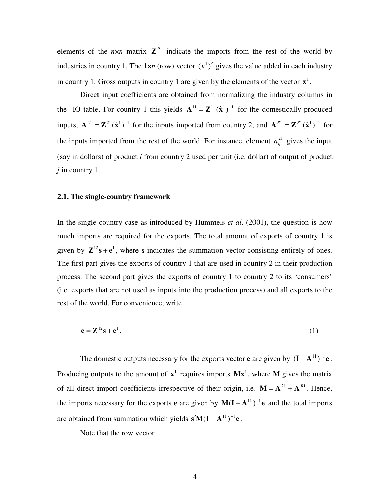elements of the  $n \times n$  matrix  $\mathbf{Z}^{R1}$  indicate the imports from the rest of the world by industries in country 1. The  $1 \times n$  (row) vector  $(v^1)'$  gives the value added in each industry in country 1. Gross outputs in country 1 are given by the elements of the vector  $\mathbf{x}^1$ .

Direct input coefficients are obtained from normalizing the industry columns in the IO table. For country 1 this yields  $A^{11} = Z^{11}(\hat{x}^1)^{-1}$  for the domestically produced inputs,  $\mathbf{A}^{21} = \mathbf{Z}^{21}(\hat{\mathbf{x}}^1)^{-1}$  for the inputs imported from country 2, and  $\mathbf{A}^{R1} = \mathbf{Z}^{R1}(\hat{\mathbf{x}}^1)^{-1}$  for the inputs imported from the rest of the world. For instance, element  $a_{ij}^{21}$  gives the input (say in dollars) of product *i* from country 2 used per unit (i.e. dollar) of output of product *j* in country 1.

## **2.1. The single-country framework**

In the single-country case as introduced by Hummels *et al*. (2001), the question is how much imports are required for the exports. The total amount of exports of country 1 is given by  $\mathbf{Z}^{12} \mathbf{s} + \mathbf{e}^1$ , where **s** indicates the summation vector consisting entirely of ones. The first part gives the exports of country 1 that are used in country 2 in their production process. The second part gives the exports of country 1 to country 2 to its 'consumers' (i.e. exports that are not used as inputs into the production process) and all exports to the rest of the world. For convenience, write

$$
\mathbf{e} = \mathbf{Z}^{12} \mathbf{s} + \mathbf{e}^1. \tag{1}
$$

The domestic outputs necessary for the exports vector **e** are given by  $(I - A<sup>11</sup>)<sup>-1</sup>$ **e**. Producing outputs to the amount of  $x^1$  requires imports  $Mx^1$ , where M gives the matrix of all direct import coefficients irrespective of their origin, i.e.  $M = A^{21} + A^{R1}$ . Hence, the imports necessary for the exports **e** are given by  $M(I - A<sup>11</sup>)<sup>-1</sup>e$  and the total imports are obtained from summation which yields  $\mathbf{s}'\mathbf{M}(\mathbf{I} - \mathbf{A}^{11})^{-1}\mathbf{e}$ .

Note that the row vector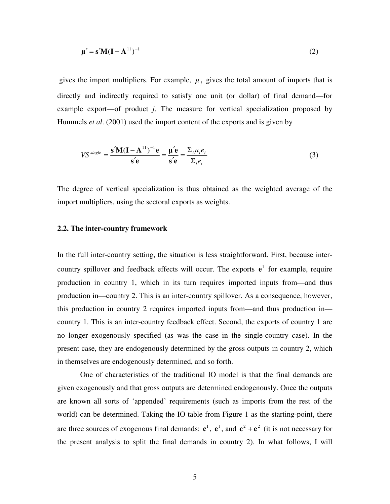$$
\mu' = \mathbf{s}' \mathbf{M} (\mathbf{I} - \mathbf{A}^{11})^{-1}
$$
 (2)

gives the import multipliers. For example,  $\mu_j$  gives the total amount of imports that is directly and indirectly required to satisfy one unit (or dollar) of final demand—for example export—of product *j*. The measure for vertical specialization proposed by Hummels *et al*. (2001) used the import content of the exports and is given by

$$
VS^{single} = \frac{\mathbf{s}'\mathbf{M}(\mathbf{I} - \mathbf{A}^{11})^{-1}\mathbf{e}}{\mathbf{s}'\mathbf{e}} = \frac{\mathbf{\mu}'\mathbf{e}}{\mathbf{s}'\mathbf{e}} = \frac{\Sigma_i \mu_i e_i}{\Sigma_i e_i}
$$
(3)

The degree of vertical specialization is thus obtained as the weighted average of the import multipliers, using the sectoral exports as weights.

#### **2.2. The inter-country framework**

In the full inter-country setting, the situation is less straightforward. First, because intercountry spillover and feedback effects will occur. The exports  $e^1$  for example, require production in country 1, which in its turn requires imported inputs from—and thus production in—country 2. This is an inter-country spillover. As a consequence, however, this production in country 2 requires imported inputs from—and thus production in country 1. This is an inter-country feedback effect. Second, the exports of country 1 are no longer exogenously specified (as was the case in the single-country case). In the present case, they are endogenously determined by the gross outputs in country 2, which in themselves are endogenously determined, and so forth.

One of characteristics of the traditional IO model is that the final demands are given exogenously and that gross outputs are determined endogenously. Once the outputs are known all sorts of 'appended' requirements (such as imports from the rest of the world) can be determined. Taking the IO table from Figure 1 as the starting-point, there are three sources of exogenous final demands:  $c^1$ ,  $e^1$ , and  $c^2 + e^2$  (it is not necessary for the present analysis to split the final demands in country 2). In what follows, I will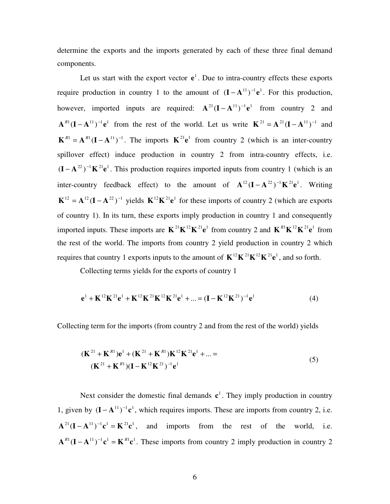determine the exports and the imports generated by each of these three final demand components.

Let us start with the export vector  $e^1$ . Due to intra-country effects these exports require production in country 1 to the amount of  $(I - A<sup>{11}</sup>)<sup>{-1}</sup>e<sup>{1}</sup>$ . For this production, however, imported inputs are required:  $A^{21}(I - A^{11})^{-1}e^1$  from country 2 and  $\mathbf{A}^{R1}(\mathbf{I} - \mathbf{A}^{11})^{-1}\mathbf{e}^1$  from the rest of the world. Let us write  $\mathbf{K}^{21} = \mathbf{A}^{21}(\mathbf{I} - \mathbf{A}^{11})^{-1}$  and  $\mathbf{K}^{R1} = \mathbf{A}^{R1} (\mathbf{I} - \mathbf{A}^{11})^{-1}$ . The imports  $\mathbf{K}^{21} \mathbf{e}^1$  from country 2 (which is an inter-country spillover effect) induce production in country 2 from intra-country effects, i.e.  $($ **I**  $-$  A<sup>22</sup> $)$ <sup>-1</sup>**K**<sup>21</sup>**e**<sup>1</sup>. This production requires imported inputs from country 1 (which is an inter-country feedback effect) to the amount of  $A^{12}(I - A^{22})^{-1}K^{21}e^{1}$ . Writing  $\mathbf{K}^{12} = \mathbf{A}^{12} (\mathbf{I} - \mathbf{A}^{22})^{-1}$  yields  $\mathbf{K}^{12} \mathbf{K}^{21} \mathbf{e}^{1}$  for these imports of country 2 (which are exports of country 1). In its turn, these exports imply production in country 1 and consequently imported inputs. These imports are  $\mathbf{K}^{21}\mathbf{K}^{12}\mathbf{K}^{21}\mathbf{e}^{1}$  from country 2 and  $\mathbf{K}^{R1}\mathbf{K}^{12}\mathbf{K}^{21}\mathbf{e}^{1}$  from the rest of the world. The imports from country 2 yield production in country 2 which requires that country 1 exports inputs to the amount of  $K^{12}K^{21}K^{12}K^{21}e^1$ , and so forth.

Collecting terms yields for the exports of country 1

$$
\mathbf{e}^{1} + \mathbf{K}^{12} \mathbf{K}^{21} \mathbf{e}^{1} + \mathbf{K}^{12} \mathbf{K}^{21} \mathbf{K}^{12} \mathbf{K}^{21} \mathbf{e}^{1} + \dots = (\mathbf{I} - \mathbf{K}^{12} \mathbf{K}^{21})^{-1} \mathbf{e}^{1}
$$
(4)

Collecting term for the imports (from country 2 and from the rest of the world) yields

$$
(\mathbf{K}^{21} + \mathbf{K}^{R1})\mathbf{e}^{1} + (\mathbf{K}^{21} + \mathbf{K}^{R1})\mathbf{K}^{12}\mathbf{K}^{21}\mathbf{e}^{1} + \dots =
$$
\n
$$
(\mathbf{K}^{21} + \mathbf{K}^{R1})(\mathbf{I} - \mathbf{K}^{12}\mathbf{K}^{21})^{-1}\mathbf{e}^{1}
$$
\n(5)

Next consider the domestic final demands  $c<sup>1</sup>$ . They imply production in country 1, given by  $(I - A<sup>{11}</sup>)<sup>{-1}</sup>c<sup>1</sup>$ , which requires imports. These are imports from country 2, i.e.  $A^{21}(I - A^{11})^{-1}c^1 = K^{21}c^1$ , and imports from the rest of the world, i.e.  $A^{R1}(I - A^{11})^{-1}c^1 = K^{R1}c^1$ . These imports from country 2 imply production in country 2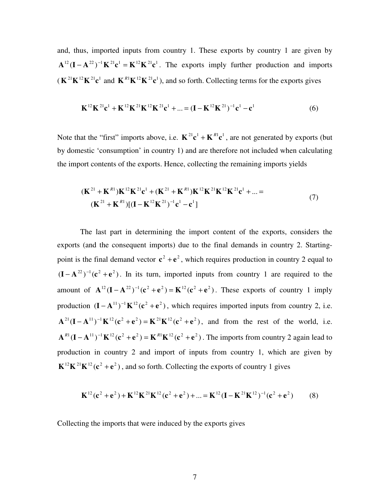and, thus, imported inputs from country 1. These exports by country 1 are given by  $A^{12} (I - A^{22})^{-1} K^{21} c^{1} = K^{12} K^{21} c^{1}$ . The exports imply further production and imports  $(K^{21}K^{12}K^{21}c^1$  and  $K^{R1}K^{12}K^{21}c^1$ ), and so forth. Collecting terms for the exports gives

$$
\mathbf{K}^{12}\mathbf{K}^{21}\mathbf{c}^{1} + \mathbf{K}^{12}\mathbf{K}^{21}\mathbf{K}^{12}\mathbf{K}^{21}\mathbf{c}^{1} + \dots = (\mathbf{I} - \mathbf{K}^{12}\mathbf{K}^{21})^{-1}\mathbf{c}^{1} - \mathbf{c}^{1}
$$
(6)

Note that the "first" imports above, i.e.  $K^{21}c^{1} + K^{R1}c^{1}$ , are not generated by exports (but by domestic 'consumption' in country 1) and are therefore not included when calculating the import contents of the exports. Hence, collecting the remaining imports yields

$$
(\mathbf{K}^{21} + \mathbf{K}^{R1})\mathbf{K}^{12}\mathbf{K}^{21}\mathbf{c}^{1} + (\mathbf{K}^{21} + \mathbf{K}^{R1})\mathbf{K}^{12}\mathbf{K}^{21}\mathbf{K}^{12}\mathbf{K}^{21}\mathbf{c}^{1} + \dots =
$$
\n
$$
(\mathbf{K}^{21} + \mathbf{K}^{R1})[(\mathbf{I} - \mathbf{K}^{12}\mathbf{K}^{21})^{-1}\mathbf{c}^{1} - \mathbf{c}^{1}]
$$
\n(7)

The last part in determining the import content of the exports, considers the exports (and the consequent imports) due to the final demands in country 2. Startingpoint is the final demand vector  $c^2 + e^2$ , which requires production in country 2 equal to  $(I - A^{22})^{-1}$  ( $c^2 + e^2$ ). In its turn, imported inputs from country 1 are required to the amount of  $A^{12}(I - A^{22})^{-1}(c^2 + e^2) = K^{12}(c^2 + e^2)$ . These exports of country 1 imply production  $(I - A^{11})^{-1} K^{12} (c^2 + e^2)$ , which requires imported inputs from country 2, i.e.  $A^{21}(I - A^{11})^{-1}K^{12}(c^2 + e^2) = K^{21}K^{12}(c^2 + e^2)$ , and from the rest of the world, i.e.  ${\bf A}^{R1}({\bf I}-{\bf A}^{11})^{-1}{\bf K}^{12}({\bf c}^2+{\bf e}^2)={\bf K}^{R1}{\bf K}^{12}({\bf c}^2+{\bf e}^2)$ . The imports from country 2 again lead to production in country 2 and import of inputs from country 1, which are given by  $\mathbf{K}^{12}\mathbf{K}^{21}\mathbf{K}^{12}(\mathbf{c}^2 + \mathbf{e}^2)$ , and so forth. Collecting the exports of country 1 gives

$$
\mathbf{K}^{12}(\mathbf{c}^2 + \mathbf{e}^2) + \mathbf{K}^{12}\mathbf{K}^{21}\mathbf{K}^{12}(\mathbf{c}^2 + \mathbf{e}^2) + \dots = \mathbf{K}^{12}(\mathbf{I} - \mathbf{K}^{21}\mathbf{K}^{12})^{-1}(\mathbf{c}^2 + \mathbf{e}^2)
$$
 (8)

Collecting the imports that were induced by the exports gives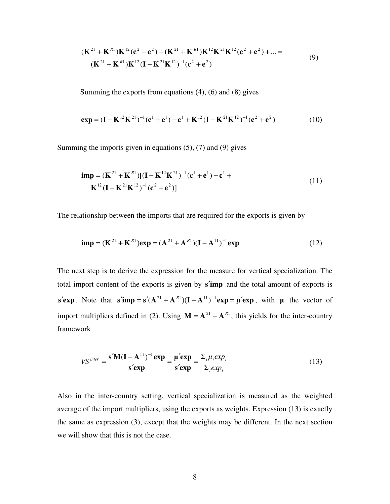$$
(\mathbf{K}^{21} + \mathbf{K}^{R1})\mathbf{K}^{12}(\mathbf{c}^2 + \mathbf{e}^2) + (\mathbf{K}^{21} + \mathbf{K}^{R1})\mathbf{K}^{12}\mathbf{K}^{21}\mathbf{K}^{12}(\mathbf{c}^2 + \mathbf{e}^2) + \dots =
$$
\n
$$
(\mathbf{K}^{21} + \mathbf{K}^{R1})\mathbf{K}^{12}(\mathbf{I} - \mathbf{K}^{21}\mathbf{K}^{12})^{-1}(\mathbf{c}^2 + \mathbf{e}^2)
$$
\n(9)

Summing the exports from equations (4), (6) and (8) gives

$$
\exp = (\mathbf{I} - \mathbf{K}^{12} \mathbf{K}^{21})^{-1} (\mathbf{c}^{1} + \mathbf{e}^{1}) - \mathbf{c}^{1} + \mathbf{K}^{12} (\mathbf{I} - \mathbf{K}^{21} \mathbf{K}^{12})^{-1} (\mathbf{c}^{2} + \mathbf{e}^{2})
$$
(10)

Summing the imports given in equations (5), (7) and (9) gives

$$
\begin{aligned} \n\mathbf{imp} &= (\mathbf{K}^{21} + \mathbf{K}^{R1})[(\mathbf{I} - \mathbf{K}^{12}\mathbf{K}^{21})^{-1}(\mathbf{c}^{1} + \mathbf{e}^{1}) - \mathbf{c}^{1} + \mathbf{K}^{12}(\mathbf{I} - \mathbf{K}^{21}\mathbf{K}^{12})^{-1}(\mathbf{c}^{2} + \mathbf{e}^{2})] \n\end{aligned} \tag{11}
$$

The relationship between the imports that are required for the exports is given by

$$
imp = (K^{21} + K^{R1})exp = (A^{21} + A^{R1})(I - A^{11})^{-1}exp
$$
 (12)

The next step is to derive the expression for the measure for vertical specialization. The total import content of the exports is given by **s**′**imp** and the total amount of exports is **s**<sup>′</sup>**exp**. Note that **s**<sup>′</sup>**imp** = **s**<sup>′</sup>( $\mathbf{A}$ <sup>21</sup> +  $\mathbf{A}$ <sup>*R*1</sup>)( $\mathbf{I} - \mathbf{A}$ <sup>11</sup>)<sup>-1</sup>**exp** =  $\boldsymbol{\mu}$ <sup>′</sup>**exp**, with  $\boldsymbol{\mu}$  the vector of import multipliers defined in (2). Using  $M = A^{21} + A^{R1}$ , this yields for the inter-country framework

$$
VS^{inter} = \frac{\mathbf{s}'\mathbf{M}(\mathbf{I} - \mathbf{A}^{11})^{-1}\mathbf{exp}}{\mathbf{s}'\mathbf{exp}} = \frac{\boldsymbol{\mu}'\mathbf{exp}}{\mathbf{s}'\mathbf{exp}} = \frac{\sum_{i}\mu_{i}exp_{i}}{\sum_{i}exp_{i}}
$$
(13)

Also in the inter-country setting, vertical specialization is measured as the weighted average of the import multipliers, using the exports as weights. Expression (13) is exactly the same as expression (3), except that the weights may be different. In the next section we will show that this is not the case.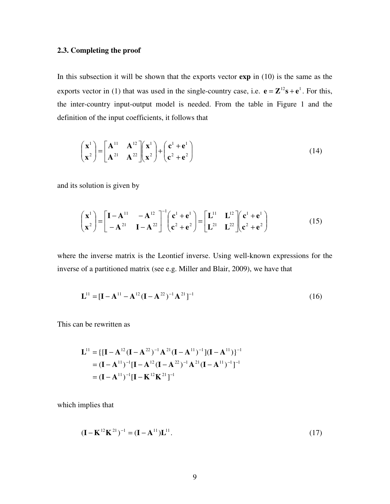# **2.3. Completing the proof**

In this subsection it will be shown that the exports vector **exp** in (10) is the same as the exports vector in (1) that was used in the single-country case, i.e.  $\mathbf{e} = \mathbf{Z}^{12} \mathbf{s} + \mathbf{e}^{1}$ . For this, the inter-country input-output model is needed. From the table in Figure 1 and the definition of the input coefficients, it follows that

$$
\begin{pmatrix} \mathbf{x}^1 \\ \mathbf{x}^2 \end{pmatrix} = \begin{bmatrix} \mathbf{A}^{11} & \mathbf{A}^{12} \\ \mathbf{A}^{21} & \mathbf{A}^{22} \end{bmatrix} \begin{pmatrix} \mathbf{x}^1 \\ \mathbf{x}^2 \end{pmatrix} + \begin{pmatrix} \mathbf{c}^1 + \mathbf{e}^1 \\ \mathbf{c}^2 + \mathbf{e}^2 \end{pmatrix}
$$
(14)

and its solution is given by

$$
\begin{pmatrix} \mathbf{x}^1 \\ \mathbf{x}^2 \end{pmatrix} = \begin{bmatrix} \mathbf{I} - \mathbf{A}^{11} & -\mathbf{A}^{12} \\ -\mathbf{A}^{21} & \mathbf{I} - \mathbf{A}^{22} \end{bmatrix}^{-1} \begin{pmatrix} \mathbf{c}^1 + \mathbf{e}^1 \\ \mathbf{c}^2 + \mathbf{e}^2 \end{pmatrix} = \begin{bmatrix} \mathbf{L}^{11} & \mathbf{L}^{12} \\ \mathbf{L}^{21} & \mathbf{L}^{22} \end{bmatrix} \begin{pmatrix} \mathbf{c}^1 + \mathbf{e}^1 \\ \mathbf{c}^2 + \mathbf{e}^2 \end{pmatrix}
$$
(15)

where the inverse matrix is the Leontief inverse. Using well-known expressions for the inverse of a partitioned matrix (see e.g. Miller and Blair, 2009), we have that

$$
\mathbf{L}^{11} = [\mathbf{I} - \mathbf{A}^{11} - \mathbf{A}^{12} (\mathbf{I} - \mathbf{A}^{22})^{-1} \mathbf{A}^{21}]^{-1}
$$
(16)

This can be rewritten as

$$
\mathbf{L}^{11} = \{ [\mathbf{I} - \mathbf{A}^{12} (\mathbf{I} - \mathbf{A}^{22})^{-1} \mathbf{A}^{21} (\mathbf{I} - \mathbf{A}^{11})^{-1}] (\mathbf{I} - \mathbf{A}^{11}) \}^{-1}
$$
  
=  $(\mathbf{I} - \mathbf{A}^{11})^{-1} [\mathbf{I} - \mathbf{A}^{12} (\mathbf{I} - \mathbf{A}^{22})^{-1} \mathbf{A}^{21} (\mathbf{I} - \mathbf{A}^{11})^{-1}]^{-1}$   
=  $(\mathbf{I} - \mathbf{A}^{11})^{-1} [\mathbf{I} - \mathbf{K}^{12} \mathbf{K}^{21}]^{-1}$ 

which implies that

$$
(\mathbf{I} - \mathbf{K}^{12} \mathbf{K}^{21})^{-1} = (\mathbf{I} - \mathbf{A}^{11}) \mathbf{L}^{11}.
$$
 (17)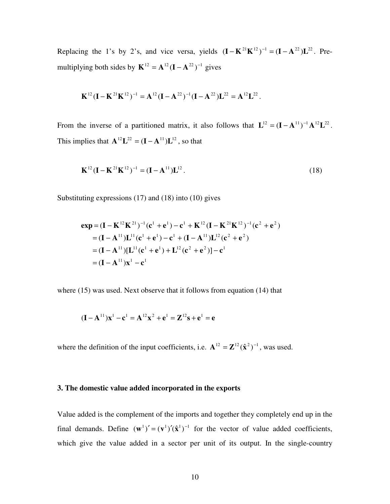Replacing the 1's by 2's, and vice versa, yields  $(\mathbf{I} - \mathbf{K}^{21} \mathbf{K}^{12})^{-1} = (\mathbf{I} - \mathbf{A}^{22})\mathbf{L}^{22}$ . Premultiplying both sides by  $\mathbf{K}^{12} = \mathbf{A}^{12} (\mathbf{I} - \mathbf{A}^{22})^{-1}$  gives

$$
\mathbf{K}^{12}(\mathbf{I}-\mathbf{K}^{21}\mathbf{K}^{12})^{-1} = \mathbf{A}^{12}(\mathbf{I}-\mathbf{A}^{22})^{-1}(\mathbf{I}-\mathbf{A}^{22})\mathbf{L}^{22} = \mathbf{A}^{12}\mathbf{L}^{22}.
$$

From the inverse of a partitioned matrix, it also follows that  $L^{12} = (I - A^{11})^{-1} A^{12} L^{22}$ . This implies that  $\mathbf{A}^{12} \mathbf{L}^{22} = (\mathbf{I} - \mathbf{A}^{11}) \mathbf{L}^{12}$ , so that

$$
\mathbf{K}^{12} (\mathbf{I} - \mathbf{K}^{21} \mathbf{K}^{12})^{-1} = (\mathbf{I} - \mathbf{A}^{11}) \mathbf{L}^{12}.
$$
 (18)

Substituting expressions (17) and (18) into (10) gives

$$
\begin{aligned} \mathbf{exp} &= (\mathbf{I} - \mathbf{K}^{12} \mathbf{K}^{21})^{-1} (\mathbf{c}^{1} + \mathbf{e}^{1}) - \mathbf{c}^{1} + \mathbf{K}^{12} (\mathbf{I} - \mathbf{K}^{21} \mathbf{K}^{12})^{-1} (\mathbf{c}^{2} + \mathbf{e}^{2}) \\ &= (\mathbf{I} - \mathbf{A}^{11}) \mathbf{L}^{11} (\mathbf{c}^{1} + \mathbf{e}^{1}) - \mathbf{c}^{1} + (\mathbf{I} - \mathbf{A}^{11}) \mathbf{L}^{12} (\mathbf{c}^{2} + \mathbf{e}^{2}) \\ &= (\mathbf{I} - \mathbf{A}^{11}) [\mathbf{L}^{11} (\mathbf{c}^{1} + \mathbf{e}^{1}) + \mathbf{L}^{12} (\mathbf{c}^{2} + \mathbf{e}^{2})] - \mathbf{c}^{1} \\ &= (\mathbf{I} - \mathbf{A}^{11}) \mathbf{x}^{1} - \mathbf{c}^{1} \end{aligned}
$$

where (15) was used. Next observe that it follows from equation (14) that

$$
(\mathbf{I} - \mathbf{A}^{11})\mathbf{x}^{1} - \mathbf{c}^{1} = \mathbf{A}^{12}\mathbf{x}^{2} + \mathbf{e}^{1} = \mathbf{Z}^{12}\mathbf{s} + \mathbf{e}^{1} = \mathbf{e}
$$

where the definition of the input coefficients, i.e.  $A^{12} = \mathbb{Z}^{12}(\hat{\mathbf{x}}^2)^{-1}$ , was used.

#### **3. The domestic value added incorporated in the exports**

Value added is the complement of the imports and together they completely end up in the final demands. Define  $(\mathbf{w}^1)' = (\mathbf{v}^1)'(\hat{\mathbf{x}}^1)^{-1}$  for the vector of value added coefficients, which give the value added in a sector per unit of its output. In the single-country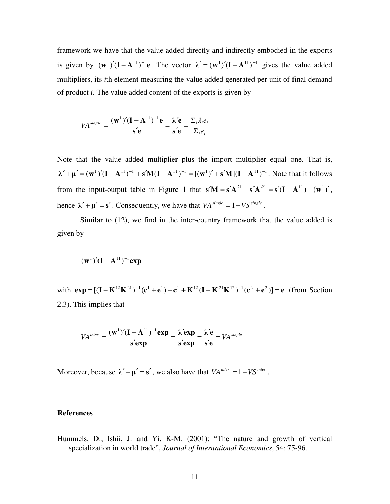framework we have that the value added directly and indirectly embodied in the exports is given by  $(\mathbf{w}^1)'(\mathbf{I} - \mathbf{A}^{11})^{-1}\mathbf{e}$ . The vector  $\lambda' = (\mathbf{w}^1)'(\mathbf{I} - \mathbf{A}^{11})^{-1}$  gives the value added multipliers, its *i*th element measuring the value added generated per unit of final demand of product *i*. The value added content of the exports is given by

$$
VA^{single} = \frac{(\mathbf{w}^{1})'(\mathbf{I} - \mathbf{A}^{11})^{-1}\mathbf{e}}{\mathbf{s}'\mathbf{e}} = \frac{\lambda'\mathbf{e}}{\mathbf{s}'\mathbf{e}} = \frac{\Sigma_{i}\lambda_{i}e_{i}}{\Sigma_{i}e_{i}}
$$

Note that the value added multiplier plus the import multiplier equal one. That is,  $\lambda' + \mu' = (\mathbf{w}^1)'(\mathbf{I} - \mathbf{A}^{11})^{-1} + \mathbf{s'}\mathbf{M}(\mathbf{I} - \mathbf{A}^{11})^{-1} = [(\mathbf{w}^1)' + \mathbf{s'}\mathbf{M}](\mathbf{I} - \mathbf{A}^{11})^{-1}$ . Note that it follows from the input-output table in Figure 1 that  $\mathbf{s}'\mathbf{M} = \mathbf{s}'\mathbf{A}^{21} + \mathbf{s}'\mathbf{A}^{R1} = \mathbf{s}'(\mathbf{I} - \mathbf{A}^{11}) - (\mathbf{w}^1)'$ , hence  $\lambda' + \mu' = s'$ . Consequently, we have that  $VA^{single} = 1 - VS^{single}$ .

Similar to (12), we find in the inter-country framework that the value added is given by

$$
(\mathbf{w}^1)'(\mathbf{I} - \mathbf{A}^{11})^{-1}\mathbf{exp}
$$

with  $exp = [(\mathbf{I} - \mathbf{K}^{12} \mathbf{K}^{21})^{-1} (\mathbf{c}^1 + \mathbf{e}^1) - \mathbf{c}^1 + \mathbf{K}^{12} (\mathbf{I} - \mathbf{K}^{21} \mathbf{K}^{12})^{-1} (\mathbf{c}^2 + \mathbf{e}^2)] = \mathbf{e}$  (from Section 2.3). This implies that

$$
VA^{inter} = \frac{(\mathbf{w}^{1})'(\mathbf{I} - \mathbf{A}^{11})^{-1}\exp}{\mathbf{s}'\exp} = \frac{\lambda'\exp}{\mathbf{s}'\exp} = \frac{\lambda'\mathbf{e}}{\mathbf{s}'\mathbf{e}} = VA^{single}
$$

Moreover, because  $\lambda' + \mu' = s'$ , we also have that  $VA^{inter} = 1 - VS^{inter}$ .

## **References**

Hummels, D.; Ishii, J. and Yi, K-M. (2001): "The nature and growth of vertical specialization in world trade", *Journal of International Economics*, 54: 75-96.